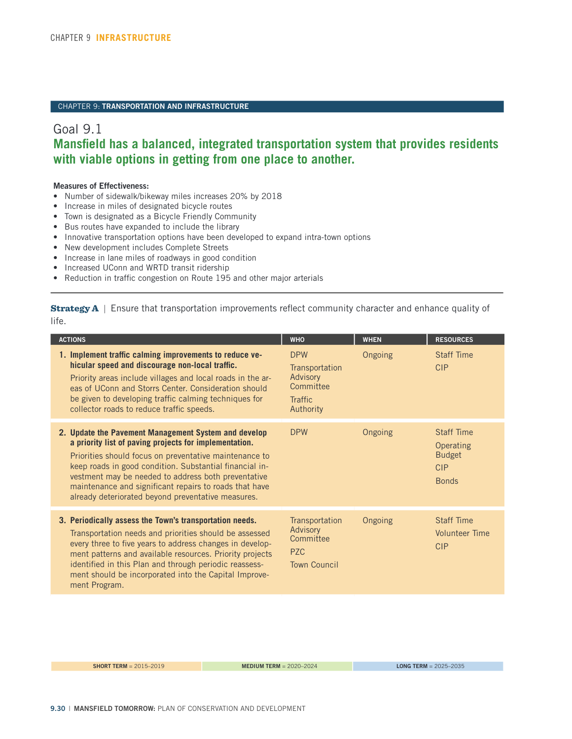## CHAPTER 9: **TRANSPORTATION AND INFRASTRUCTURE**

## Goal 9.1 **Mansfield has a balanced, integrated transportation system that provides residents with viable options in getting from one place to another.**

## **Measures of Effectiveness:**

- Number of sidewalk/bikeway miles increases 20% by 2018
- Increase in miles of designated bicycle routes
- Town is designated as a Bicycle Friendly Community
- Bus routes have expanded to include the library
- Innovative transportation options have been developed to expand intra-town options
- New development includes Complete Streets
- Increase in lane miles of roadways in good condition
- Increased UConn and WRTD transit ridership
- Reduction in traffic congestion on Route 195 and other major arterials

**Strategy A** | Ensure that transportation improvements reflect community character and enhance quality of life.

| <b>ACTIONS</b>                                                                                                                                                                                                                                                                                                                                                                                             | <b>WHO</b>                                                                           | <b>WHEN</b> | <b>RESOURCES</b>                                                              |
|------------------------------------------------------------------------------------------------------------------------------------------------------------------------------------------------------------------------------------------------------------------------------------------------------------------------------------------------------------------------------------------------------------|--------------------------------------------------------------------------------------|-------------|-------------------------------------------------------------------------------|
| 1. Implement traffic calming improvements to reduce ve-<br>hicular speed and discourage non-local traffic.<br>Priority areas include villages and local roads in the ar-<br>eas of UConn and Storrs Center. Consideration should<br>be given to developing traffic calming techniques for<br>collector roads to reduce traffic speeds.                                                                     | <b>DPW</b><br>Transportation<br>Advisory<br>Committee<br><b>Traffic</b><br>Authority | Ongoing     | <b>Staff Time</b><br>CIP                                                      |
| 2. Update the Pavement Management System and develop<br>a priority list of paving projects for implementation.<br>Priorities should focus on preventative maintenance to<br>keep roads in good condition. Substantial financial in-<br>vestment may be needed to address both preventative<br>maintenance and significant repairs to roads that have<br>already deteriorated beyond preventative measures. | <b>DPW</b>                                                                           | Ongoing     | <b>Staff Time</b><br>Operating<br><b>Budget</b><br><b>CIP</b><br><b>Bonds</b> |
| 3. Periodically assess the Town's transportation needs.<br>Transportation needs and priorities should be assessed<br>every three to five years to address changes in develop-<br>ment patterns and available resources. Priority projects<br>identified in this Plan and through periodic reassess-<br>ment should be incorporated into the Capital Improve-<br>ment Program.                              | Transportation<br>Advisory<br>Committee<br><b>PZC</b><br><b>Town Council</b>         | Ongoing     | <b>Staff Time</b><br><b>Volunteer Time</b><br><b>CIP</b>                      |
|                                                                                                                                                                                                                                                                                                                                                                                                            |                                                                                      |             |                                                                               |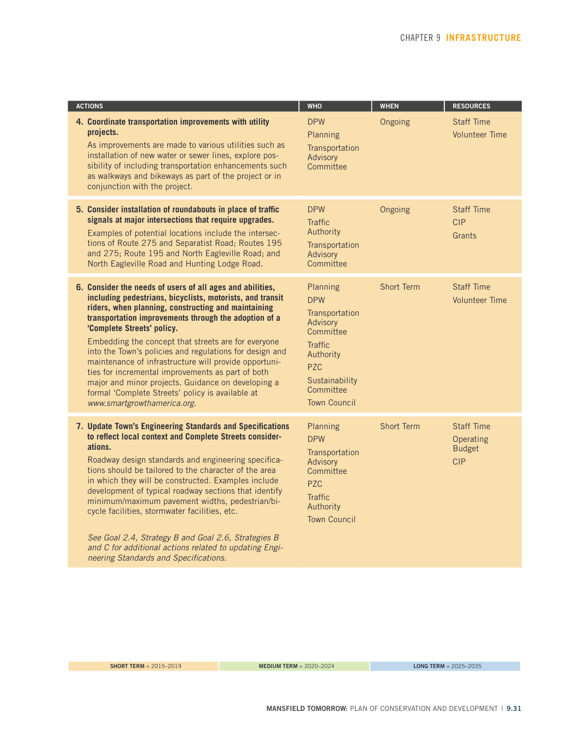| <b>ACTIONS</b>                                                                                                                                                                                                                                                                                                                                                                                                                                                                                                                                                                                                                                | <b>WHO</b>                                                                                                                                                           | <b>WHEN</b>       | <b>RESOURCES</b>                                              |
|-----------------------------------------------------------------------------------------------------------------------------------------------------------------------------------------------------------------------------------------------------------------------------------------------------------------------------------------------------------------------------------------------------------------------------------------------------------------------------------------------------------------------------------------------------------------------------------------------------------------------------------------------|----------------------------------------------------------------------------------------------------------------------------------------------------------------------|-------------------|---------------------------------------------------------------|
| 4. Coordinate transportation improvements with utility<br>projects.<br>As improvements are made to various utilities such as<br>installation of new water or sewer lines, explore pos-<br>sibility of including transportation enhancements such<br>as walkways and bikeways as part of the project or in<br>conjunction with the project.                                                                                                                                                                                                                                                                                                    | <b>DPW</b><br>Planning<br>Transportation<br>Advisory<br>Committee                                                                                                    | Ongoing           | <b>Staff Time</b><br><b>Volunteer Time</b>                    |
| 5. Consider installation of roundabouts in place of traffic<br>signals at major intersections that require upgrades.<br>Examples of potential locations include the intersec-<br>tions of Route 275 and Separatist Road; Routes 195<br>and 275; Route 195 and North Eagleville Road; and<br>North Eagleville Road and Hunting Lodge Road.                                                                                                                                                                                                                                                                                                     | <b>DPW</b><br><b>Traffic</b><br>Authority<br>Transportation<br>Advisory<br>Committee                                                                                 | Ongoing           | <b>Staff Time</b><br><b>CIP</b><br>Grants                     |
| 6. Consider the needs of users of all ages and abilities,<br>including pedestrians, bicyclists, motorists, and transit<br>riders, when planning, constructing and maintaining<br>transportation improvements through the adoption of a<br>'Complete Streets' policy.<br>Embedding the concept that streets are for everyone<br>into the Town's policies and regulations for design and<br>maintenance of infrastructure will provide opportuni-<br>ties for incremental improvements as part of both<br>major and minor projects. Guidance on developing a<br>formal 'Complete Streets' policy is available at<br>www.smartgrowthamerica.org. | Planning<br><b>DPW</b><br>Transportation<br>Advisory<br>Committee<br><b>Traffic</b><br>Authority<br><b>PZC</b><br>Sustainability<br>Committee<br><b>Town Council</b> | <b>Short Term</b> | <b>Staff Time</b><br><b>Volunteer Time</b>                    |
| 7. Update Town's Engineering Standards and Specifications<br>to reflect local context and Complete Streets consider-<br>ations.<br>Roadway design standards and engineering specifica-<br>tions should be tailored to the character of the area<br>in which they will be constructed. Examples include<br>development of typical roadway sections that identify<br>minimum/maximum pavement widths, pedestrian/bi-<br>cycle facilities, stormwater facilities, etc.<br>See Goal 2.4, Strategy B and Goal 2.6, Strategies B<br>and C for additional actions related to updating Engi-<br>neering Standards and Specifications.                 | Planning<br><b>DPW</b><br>Transportation<br>Advisory<br>Committee<br>P <sub>7C</sub><br><b>Traffic</b><br>Authority<br><b>Town Council</b>                           | <b>Short Term</b> | <b>Staff Time</b><br>Operating<br><b>Budget</b><br><b>CIP</b> |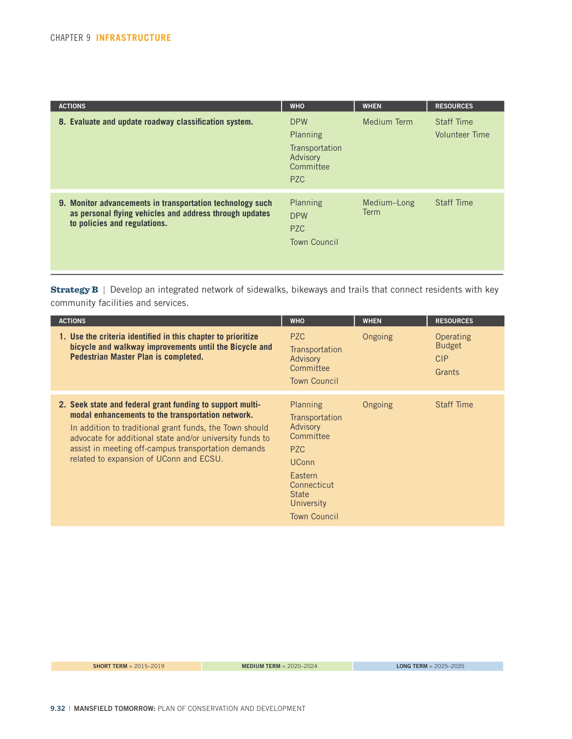| <b>ACTIONS</b>                                                                                                                                       | <b>WHO</b>                                                                      | <b>WHEN</b>                | <b>RESOURCES</b>                    |
|------------------------------------------------------------------------------------------------------------------------------------------------------|---------------------------------------------------------------------------------|----------------------------|-------------------------------------|
| 8. Evaluate and update roadway classification system.                                                                                                | <b>DPW</b><br>Planning<br>Transportation<br>Advisory<br>Committee<br><b>PZC</b> | <b>Medium Term</b>         | <b>Staff Time</b><br>Volunteer Time |
| 9. Monitor advancements in transportation technology such<br>as personal flying vehicles and address through updates<br>to policies and regulations. | Planning<br><b>DPW</b><br><b>PZC</b><br><b>Town Council</b>                     | Medium-Long<br><b>Term</b> | <b>Staff Time</b>                   |

Strategy B | Develop an integrated network of sidewalks, bikeways and trails that connect residents with key community facilities and services.

| <b>ACTIONS</b>                                                                                                                                                                                                                                                                                                                          | <b>WHO</b>                                                                                                                                                                   | <b>WHEN</b> | <b>RESOURCES</b>                                   |
|-----------------------------------------------------------------------------------------------------------------------------------------------------------------------------------------------------------------------------------------------------------------------------------------------------------------------------------------|------------------------------------------------------------------------------------------------------------------------------------------------------------------------------|-------------|----------------------------------------------------|
| 1. Use the criteria identified in this chapter to prioritize<br>bicycle and walkway improvements until the Bicycle and<br>Pedestrian Master Plan is completed.                                                                                                                                                                          | <b>PZC</b><br>Transportation<br>Advisory<br>Committee<br><b>Town Council</b>                                                                                                 | Ongoing     | Operating<br><b>Budget</b><br><b>CIP</b><br>Grants |
| 2. Seek state and federal grant funding to support multi-<br>modal enhancements to the transportation network.<br>In addition to traditional grant funds, the Town should<br>advocate for additional state and/or university funds to<br>assist in meeting off-campus transportation demands<br>related to expansion of UConn and ECSU. | <b>Planning</b><br>Transportation<br>Advisory<br>Committee<br>P <sub>7C</sub><br><b>UConn</b><br>Eastern<br>Connecticut<br><b>State</b><br>University<br><b>Town Council</b> | Ongoing     | <b>Staff Time</b>                                  |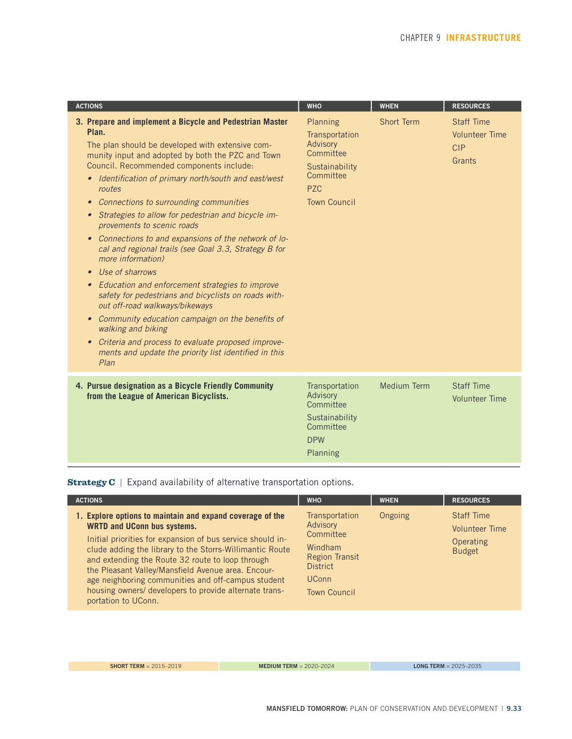| <b>ACTIONS</b>                                                                                                                                                                                                                                                                                                                                                                                                                                                                                                                                                                                                                                                                                                                                                                                                                                                                                                                                                                                               | <b>WHO</b>                                                                                                              | <b>WHEN</b>        | <b>RESOURCES</b>                                                   |
|--------------------------------------------------------------------------------------------------------------------------------------------------------------------------------------------------------------------------------------------------------------------------------------------------------------------------------------------------------------------------------------------------------------------------------------------------------------------------------------------------------------------------------------------------------------------------------------------------------------------------------------------------------------------------------------------------------------------------------------------------------------------------------------------------------------------------------------------------------------------------------------------------------------------------------------------------------------------------------------------------------------|-------------------------------------------------------------------------------------------------------------------------|--------------------|--------------------------------------------------------------------|
| 3. Prepare and implement a Bicycle and Pedestrian Master<br>Plan.<br>The plan should be developed with extensive com-<br>munity input and adopted by both the PZC and Town<br>Council. Recommended components include:<br>• Identification of primary north/south and east/west<br>routes<br>Connections to surrounding communities<br>$\bullet$<br>Strategies to allow for pedestrian and bicycle im-<br>$\bullet$<br>provements to scenic roads<br>Connections to and expansions of the network of lo-<br>$\bullet$<br>cal and regional trails (see Goal 3.3, Strategy B for<br>more information)<br>Use of sharrows<br>$\bullet$<br>Education and enforcement strategies to improve<br>$\bullet$<br>safety for pedestrians and bicyclists on roads with-<br>out off-road walkways/bikeways<br>• Community education campaign on the benefits of<br>walking and biking<br>Criteria and process to evaluate proposed improve-<br>$\bullet$<br>ments and update the priority list identified in this<br>Plan | Planning<br>Transportation<br>Advisory<br>Committee<br>Sustainability<br>Committee<br><b>PZC</b><br><b>Town Council</b> | <b>Short Term</b>  | <b>Staff Time</b><br><b>Volunteer Time</b><br><b>CIP</b><br>Grants |
| 4. Pursue designation as a Bicycle Friendly Community<br>from the League of American Bicyclists.                                                                                                                                                                                                                                                                                                                                                                                                                                                                                                                                                                                                                                                                                                                                                                                                                                                                                                             | Transportation<br>Advisory<br>Committee<br>Sustainability<br>Committee<br><b>DPW</b><br>Planning                        | <b>Medium Term</b> | <b>Staff Time</b><br><b>Volunteer Time</b>                         |

Strategy C | Expand availability of alternative transportation options.

| <b>ACTIONS</b>                                                                                                                                                                                                                                                                                                                                                                                                                                                             | <b>WHO</b>                                                                                                                            | <b>WHEN</b> | <b>RESOURCES</b>                                                         |
|----------------------------------------------------------------------------------------------------------------------------------------------------------------------------------------------------------------------------------------------------------------------------------------------------------------------------------------------------------------------------------------------------------------------------------------------------------------------------|---------------------------------------------------------------------------------------------------------------------------------------|-------------|--------------------------------------------------------------------------|
| 1. Explore options to maintain and expand coverage of the<br><b>WRTD and UConn bus systems.</b><br>Initial priorities for expansion of bus service should in-<br>clude adding the library to the Storrs-Willimantic Route<br>and extending the Route 32 route to loop through<br>the Pleasant Valley/Mansfield Avenue area. Encour-<br>age neighboring communities and off-campus student<br>housing owners/ developers to provide alternate trans-<br>portation to UConn. | Transportation<br>Advisory<br>Committee<br>Windham<br><b>Region Transit</b><br><b>District</b><br><b>UConn</b><br><b>Town Council</b> | Ongoing     | <b>Staff Time</b><br><b>Volunteer Time</b><br>Operating<br><b>Budget</b> |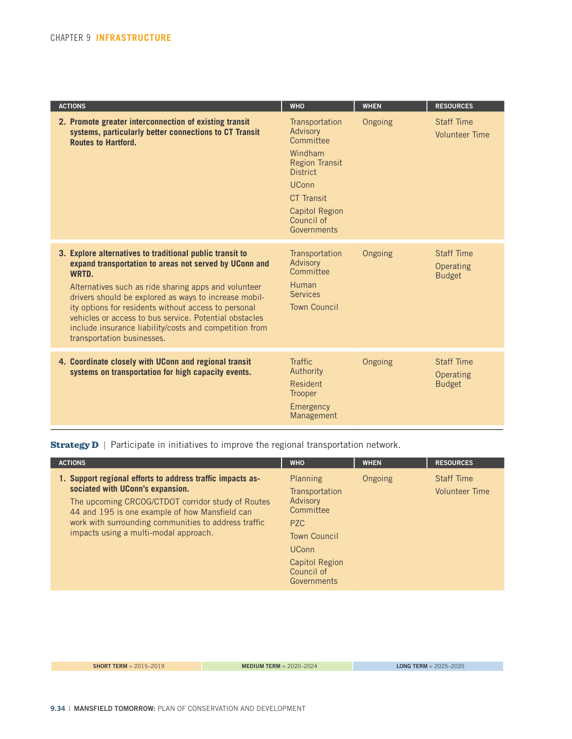| <b>ACTIONS</b>                                                                                                                                                                                                                                                                                                                                                                                                                                         | <b>WHO</b>                                                                                                                                                                                | <b>WHEN</b> | <b>RESOURCES</b>                                |
|--------------------------------------------------------------------------------------------------------------------------------------------------------------------------------------------------------------------------------------------------------------------------------------------------------------------------------------------------------------------------------------------------------------------------------------------------------|-------------------------------------------------------------------------------------------------------------------------------------------------------------------------------------------|-------------|-------------------------------------------------|
| 2. Promote greater interconnection of existing transit<br>systems, particularly better connections to CT Transit<br><b>Routes to Hartford.</b>                                                                                                                                                                                                                                                                                                         | Transportation<br>Advisory<br>Committee<br>Windham<br><b>Region Transit</b><br><b>District</b><br><b>UConn</b><br><b>CT Transit</b><br><b>Capitol Region</b><br>Council of<br>Governments | Ongoing     | <b>Staff Time</b><br><b>Volunteer Time</b>      |
| 3. Explore alternatives to traditional public transit to<br>expand transportation to areas not served by UConn and<br>WRTD.<br>Alternatives such as ride sharing apps and volunteer<br>drivers should be explored as ways to increase mobil-<br>ity options for residents without access to personal<br>vehicles or access to bus service. Potential obstacles<br>include insurance liability/costs and competition from<br>transportation businesses. | Transportation<br>Advisory<br>Committee<br>Human<br><b>Services</b><br><b>Town Council</b>                                                                                                | Ongoing     | <b>Staff Time</b><br>Operating<br><b>Budget</b> |
| 4. Coordinate closely with UConn and regional transit<br>systems on transportation for high capacity events.                                                                                                                                                                                                                                                                                                                                           | Traffic.<br>Authority<br>Resident<br>Trooper<br>Emergency<br>Management                                                                                                                   | Ongoing     | <b>Staff Time</b><br>Operating<br><b>Budget</b> |

**Strategy D** | Participate in initiatives to improve the regional transportation network.

| <b>ACTIONS</b>                                                                                                                                                                                                                                                                                         | <b>WHO</b>                                                                                                                                                   | <b>WHEN</b> | <b>RESOURCES</b>                           |
|--------------------------------------------------------------------------------------------------------------------------------------------------------------------------------------------------------------------------------------------------------------------------------------------------------|--------------------------------------------------------------------------------------------------------------------------------------------------------------|-------------|--------------------------------------------|
| 1. Support regional efforts to address traffic impacts as-<br>sociated with UConn's expansion.<br>The upcoming CRCOG/CTDOT corridor study of Routes<br>44 and 195 is one example of how Mansfield can<br>work with surrounding communities to address traffic<br>impacts using a multi-modal approach. | Planning<br>Transportation<br>Advisory<br>Committee<br>P <sub>7C</sub><br><b>Town Council</b><br><b>UConn</b><br>Capitol Region<br>Council of<br>Governments | Ongoing     | <b>Staff Time</b><br><b>Volunteer Time</b> |